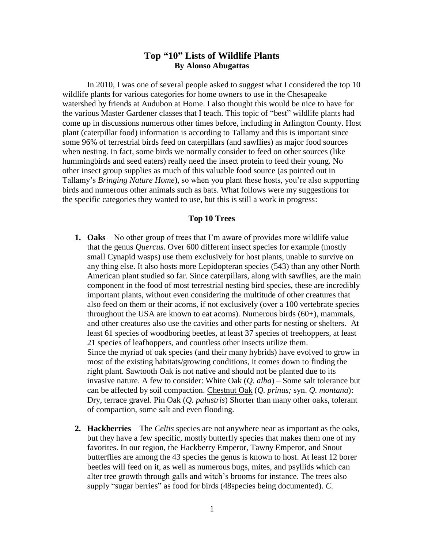# **Top "10" Lists of Wildlife Plants By Alonso Abugattas**

In 2010, I was one of several people asked to suggest what I considered the top 10 wildlife plants for various categories for home owners to use in the Chesapeake watershed by friends at Audubon at Home. I also thought this would be nice to have for the various Master Gardener classes that I teach. This topic of "best" wildlife plants had come up in discussions numerous other times before, including in Arlington County. Host plant (caterpillar food) information is according to Tallamy and this is important since some 96% of terrestrial birds feed on caterpillars (and sawflies) as major food sources when nesting. In fact, some birds we normally consider to feed on other sources (like hummingbirds and seed eaters) really need the insect protein to feed their young. No other insect group supplies as much of this valuable food source (as pointed out in Tallamy's *Bringing Nature Home*), so when you plant these hosts, you're also supporting birds and numerous other animals such as bats. What follows were my suggestions for the specific categories they wanted to use, but this is still a work in progress:

## **Top 10 Trees**

- **1. Oaks** No other group of trees that I'm aware of provides more wildlife value that the genus *Quercus*. Over 600 different insect species for example (mostly small Cynapid wasps) use them exclusively for host plants, unable to survive on any thing else. It also hosts more Lepidopteran species (543) than any other North American plant studied so far. Since caterpillars, along with sawflies, are the main component in the food of most terrestrial nesting bird species, these are incredibly important plants, without even considering the multitude of other creatures that also feed on them or their acorns, if not exclusively (over a 100 vertebrate species throughout the USA are known to eat acorns). Numerous birds (60+), mammals, and other creatures also use the cavities and other parts for nesting or shelters. At least 61 species of woodboring beetles, at least 37 species of treehoppers, at least 21 species of leafhoppers, and countless other insects utilize them. Since the myriad of oak species (and their many hybrids) have evolved to grow in most of the existing habitats/growing conditions, it comes down to finding the right plant. Sawtooth Oak is not native and should not be planted due to its invasive nature. A few to consider: White Oak (*Q. alba*) – Some salt tolerance but can be affected by soil compaction. Chestnut Oak (*Q. prinus;* syn. *Q. montana*): Dry, terrace gravel. Pin Oak (*Q. palustris*) Shorter than many other oaks, tolerant of compaction, some salt and even flooding.
- **2. Hackberries** The *Celtis* species are not anywhere near as important as the oaks, but they have a few specific, mostly butterfly species that makes them one of my favorites. In our region, the Hackberry Emperor, Tawny Emperor, and Snout butterflies are among the 43 species the genus is known to host. At least 12 borer beetles will feed on it, as well as numerous bugs, mites, and psyllids which can alter tree growth through galls and witch's brooms for instance. The trees also supply "sugar berries" as food for birds (48species being documented). *C.*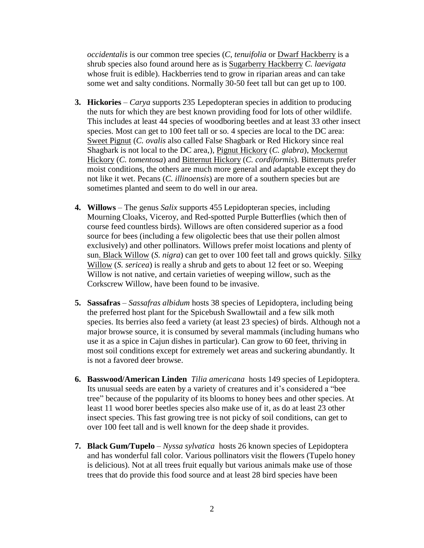*occidentalis* is our common tree species (*C, tenuifolia* or Dwarf Hackberry is a shrub species also found around here as is Sugarberry Hackberry *C. laevigata* whose fruit is edible). Hackberries tend to grow in riparian areas and can take some wet and salty conditions. Normally 30-50 feet tall but can get up to 100.

- **3. Hickories** *Carya* supports 235 Lepedopteran species in addition to producing the nuts for which they are best known providing food for lots of other wildlife. This includes at least 44 species of woodboring beetles and at least 33 other insect species. Most can get to 100 feet tall or so. 4 species are local to the DC area: Sweet Pignut (*C. ovalis* also called False Shagbark or Red Hickory since real Shagbark is not local to the DC area,), Pignut Hickory (*C. glabra*), Mockernut Hickory (*C. tomentosa*) and Bitternut Hickory (*C. cordiformis*). Bitternuts prefer moist conditions, the others are much more general and adaptable except they do not like it wet. Pecans (*C. illinoensis*) are more of a southern species but are sometimes planted and seem to do well in our area.
- **4. Willows**  The genus *Salix* supports 455 Lepidopteran species, including Mourning Cloaks, Viceroy, and Red-spotted Purple Butterflies (which then of course feed countless birds). Willows are often considered superior as a food source for bees (including a few oligolectic bees that use their pollen almost exclusively) and other pollinators. Willows prefer moist locations and plenty of sun. Black Willow (*S. nigra*) can get to over 100 feet tall and grows quickly. Silky Willow (*S. sericea*) is really a shrub and gets to about 12 feet or so. Weeping Willow is not native, and certain varieties of weeping willow, such as the Corkscrew Willow, have been found to be invasive.
- **5. Sassafras**  *Sassafras albidum* hosts 38 species of Lepidoptera, including being the preferred host plant for the Spicebush Swallowtail and a few silk moth species. Its berries also feed a variety (at least 23 species) of birds. Although not a major browse source, it is consumed by several mammals (including humans who use it as a spice in Cajun dishes in particular). Can grow to 60 feet, thriving in most soil conditions except for extremely wet areas and suckering abundantly. It is not a favored deer browse.
- **6. Basswood/American Linden** *Tilia americana* hosts 149 species of Lepidoptera. Its unusual seeds are eaten by a variety of creatures and it's considered a "bee tree" because of the popularity of its blooms to honey bees and other species. At least 11 wood borer beetles species also make use of it, as do at least 23 other insect species. This fast growing tree is not picky of soil conditions, can get to over 100 feet tall and is well known for the deep shade it provides.
- **7. Black Gum/Tupelo**  *Nyssa sylvatica* hosts 26 known species of Lepidoptera and has wonderful fall color. Various pollinators visit the flowers (Tupelo honey is delicious). Not at all trees fruit equally but various animals make use of those trees that do provide this food source and at least 28 bird species have been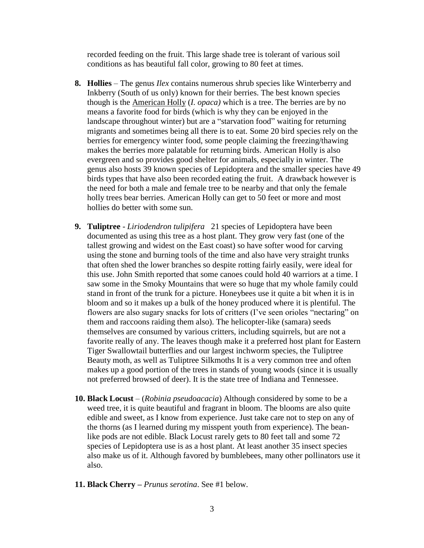recorded feeding on the fruit. This large shade tree is tolerant of various soil conditions as has beautiful fall color, growing to 80 feet at times.

- **8. Hollies**  The genus *Ilex* contains numerous shrub species like Winterberry and Inkberry (South of us only) known for their berries. The best known species though is the American Holly (*I. opaca)* which is a tree. The berries are by no means a favorite food for birds (which is why they can be enjoyed in the landscape throughout winter) but are a "starvation food" waiting for returning migrants and sometimes being all there is to eat. Some 20 bird species rely on the berries for emergency winter food, some people claiming the freezing/thawing makes the berries more palatable for returning birds. American Holly is also evergreen and so provides good shelter for animals, especially in winter. The genus also hosts 39 known species of Lepidoptera and the smaller species have 49 birds types that have also been recorded eating the fruit. A drawback however is the need for both a male and female tree to be nearby and that only the female holly trees bear berries. American Holly can get to 50 feet or more and most hollies do better with some sun.
- **9. Tuliptree**  *Liriodendron tulipifera* 21 species of Lepidoptera have been documented as using this tree as a host plant. They grow very fast (one of the tallest growing and widest on the East coast) so have softer wood for carving using the stone and burning tools of the time and also have very straight trunks that often shed the lower branches so despite rotting fairly easily, were ideal for this use. John Smith reported that some canoes could hold 40 warriors at a time. I saw some in the Smoky Mountains that were so huge that my whole family could stand in front of the trunk for a picture. Honeybees use it quite a bit when it is in bloom and so it makes up a bulk of the honey produced where it is plentiful. The flowers are also sugary snacks for lots of critters (I've seen orioles "nectaring" on them and raccoons raiding them also). The helicopter-like (samara) seeds themselves are consumed by various critters, including squirrels, but are not a favorite really of any. The leaves though make it a preferred host plant for Eastern Tiger Swallowtail butterflies and our largest inchworm species, the Tuliptree Beauty moth, as well as Tuliptree Silkmoths It is a very common tree and often makes up a good portion of the trees in stands of young woods (since it is usually not preferred browsed of deer). It is the state tree of Indiana and Tennessee.
- **10. Black Locust**  (*Robinia pseudoacacia*) Although considered by some to be a weed tree, it is quite beautiful and fragrant in bloom. The blooms are also quite edible and sweet, as I know from experience. Just take care not to step on any of the thorns (as I learned during my misspent youth from experience). The beanlike pods are not edible. Black Locust rarely gets to 80 feet tall and some 72 species of Lepidoptera use is as a host plant. At least another 35 insect species also make us of it. Although favored by bumblebees, many other pollinators use it also.
- **11. Black Cherry –** *Prunus serotina*. See #1 below.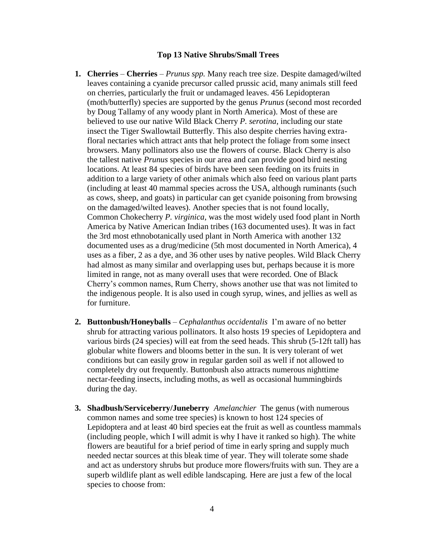# **Top 13 Native Shrubs/Small Trees**

- **1. Cherries Cherries** *Prunus spp.* Many reach tree size. Despite damaged/wilted leaves containing a cyanide precursor called prussic acid, many animals still feed on cherries, particularly the fruit or undamaged leaves. 456 Lepidopteran (moth/butterfly) species are supported by the genus *Prunus* (second most recorded by Doug Tallamy of any woody plant in North America). Most of these are believed to use our native Wild Black Cherry *P. serotina*, including our state insect the Tiger Swallowtail Butterfly. This also despite cherries having extrafloral nectaries which attract ants that help protect the foliage from some insect browsers. Many pollinators also use the flowers of course. Black Cherry is also the tallest native *Prunus* species in our area and can provide good bird nesting locations. At least 84 species of birds have been seen feeding on its fruits in addition to a large variety of other animals which also feed on various plant parts (including at least 40 mammal species across the USA, although ruminants (such as cows, sheep, and goats) in particular can get cyanide poisoning from browsing on the damaged/wilted leaves). Another species that is not found locally, Common Chokecherry *P. virginica*, was the most widely used food plant in North America by Native American Indian tribes (163 documented uses). It was in fact the 3rd most ethnobotanically used plant in North America with another 132 documented uses as a drug/medicine (5th most documented in North America), 4 uses as a fiber, 2 as a dye, and 36 other uses by native peoples. Wild Black Cherry had almost as many similar and overlapping uses but, perhaps because it is more limited in range, not as many overall uses that were recorded. One of Black Cherry's common names, Rum Cherry, shows another use that was not limited to the indigenous people. It is also used in cough syrup, wines, and jellies as well as for furniture.
- **2. Buttonbush/Honeyballs** *Cephalanthus occidentalis* I'm aware of no better shrub for attracting various pollinators. It also hosts 19 species of Lepidoptera and various birds (24 species) will eat from the seed heads. This shrub (5-12ft tall) has globular white flowers and blooms better in the sun. It is very tolerant of wet conditions but can easily grow in regular garden soil as well if not allowed to completely dry out frequently. Buttonbush also attracts numerous nighttime nectar-feeding insects, including moths, as well as occasional hummingbirds during the day.
- **3. Shadbush/Serviceberry/Juneberry** *Amelanchier* The genus (with numerous common names and some tree species) is known to host 124 species of Lepidoptera and at least 40 bird species eat the fruit as well as countless mammals (including people, which I will admit is why I have it ranked so high). The white flowers are beautiful for a brief period of time in early spring and supply much needed nectar sources at this bleak time of year. They will tolerate some shade and act as understory shrubs but produce more flowers/fruits with sun. They are a superb wildlife plant as well edible landscaping. Here are just a few of the local species to choose from: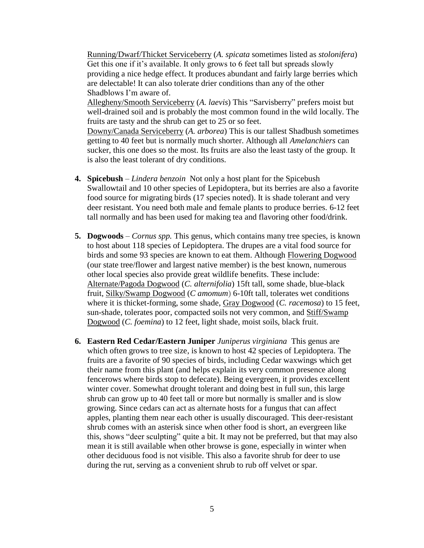Running/Dwarf/Thicket Serviceberry (*A. spicata* sometimes listed as *stolonifera*) Get this one if it's available. It only grows to 6 feet tall but spreads slowly providing a nice hedge effect. It produces abundant and fairly large berries which are delectable! It can also tolerate drier conditions than any of the other Shadblows I'm aware of.

Allegheny/Smooth Serviceberry (*A. laevis*) This "Sarvisberry" prefers moist but well-drained soil and is probably the most common found in the wild locally. The fruits are tasty and the shrub can get to 25 or so feet.

Downy/Canada Serviceberry (*A. arborea*) This is our tallest Shadbush sometimes getting to 40 feet but is normally much shorter. Although all *Amelanchiers* can sucker, this one does so the most. Its fruits are also the least tasty of the group. It is also the least tolerant of dry conditions.

- **4. Spicebush** *Lindera benzoin* Not only a host plant for the Spicebush Swallowtail and 10 other species of Lepidoptera, but its berries are also a favorite food source for migrating birds (17 species noted). It is shade tolerant and very deer resistant. You need both male and female plants to produce berries. 6-12 feet tall normally and has been used for making tea and flavoring other food/drink.
- **5. Dogwoods**  *Cornus spp.* This genus, which contains many tree species, is known to host about 118 species of Lepidoptera. The drupes are a vital food source for birds and some 93 species are known to eat them. Although Flowering Dogwood (our state tree/flower and largest native member) is the best known, numerous other local species also provide great wildlife benefits. These include: Alternate/Pagoda Dogwood (*C. alternifolia*) 15ft tall, some shade, blue-black fruit, Silky/Swamp Dogwood (*C amomum*) 6-10ft tall, tolerates wet conditions where it is thicket-forming, some shade, Gray Dogwood (*C. racemosa*) to 15 feet, sun-shade, tolerates poor, compacted soils not very common, and Stiff/Swamp Dogwood (*C. foemina*) to 12 feet, light shade, moist soils, black fruit.
- **6. Eastern Red Cedar/Eastern Juniper** *Juniperus virginiana* This genus are which often grows to tree size, is known to host 42 species of Lepidoptera. The fruits are a favorite of 90 species of birds, including Cedar waxwings which get their name from this plant (and helps explain its very common presence along fencerows where birds stop to defecate). Being evergreen, it provides excellent winter cover. Somewhat drought tolerant and doing best in full sun, this large shrub can grow up to 40 feet tall or more but normally is smaller and is slow growing. Since cedars can act as alternate hosts for a fungus that can affect apples, planting them near each other is usually discouraged. This deer-resistant shrub comes with an asterisk since when other food is short, an evergreen like this, shows "deer sculpting" quite a bit. It may not be preferred, but that may also mean it is still available when other browse is gone, especially in winter when other deciduous food is not visible. This also a favorite shrub for deer to use during the rut, serving as a convenient shrub to rub off velvet or spar.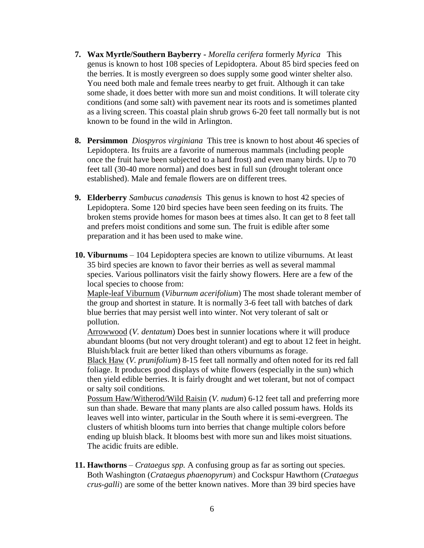- **7. Wax Myrtle/Southern Bayberry -** *Morella cerifera* formerly *Myrica* This genus is known to host 108 species of Lepidoptera. About 85 bird species feed on the berries. It is mostly evergreen so does supply some good winter shelter also. You need both male and female trees nearby to get fruit. Although it can take some shade, it does better with more sun and moist conditions. It will tolerate city conditions (and some salt) with pavement near its roots and is sometimes planted as a living screen. This coastal plain shrub grows 6-20 feet tall normally but is not known to be found in the wild in Arlington.
- **8. Persimmon** *Diospyros virginiana* This tree is known to host about 46 species of Lepidoptera. Its fruits are a favorite of numerous mammals (including people once the fruit have been subjected to a hard frost) and even many birds. Up to 70 feet tall (30-40 more normal) and does best in full sun (drought tolerant once established). Male and female flowers are on different trees.
- **9. Elderberry** *Sambucus canadensis* This genus is known to host 42 species of Lepidoptera. Some 120 bird species have been seen feeding on its fruits. The broken stems provide homes for mason bees at times also. It can get to 8 feet tall and prefers moist conditions and some sun. The fruit is edible after some preparation and it has been used to make wine.
- **10. Viburnums**  104 Lepidoptera species are known to utilize viburnums. At least 35 bird species are known to favor their berries as well as several mammal species. Various pollinators visit the fairly showy flowers. Here are a few of the local species to choose from:

Maple-leaf Viburnum (*Viburnum acerifolium*) The most shade tolerant member of the group and shortest in stature. It is normally 3-6 feet tall with batches of dark blue berries that may persist well into winter. Not very tolerant of salt or pollution.

Arrowwood (*V. dentatum*) Does best in sunnier locations where it will produce abundant blooms (but not very drought tolerant) and egt to about 12 feet in height. Bluish/black fruit are better liked than others viburnums as forage.

Black Haw (*V. prunifolium*) 8-15 feet tall normally and often noted for its red fall foliage. It produces good displays of white flowers (especially in the sun) which then yield edible berries. It is fairly drought and wet tolerant, but not of compact or salty soil conditions.

Possum Haw/Witherod/Wild Raisin (*V. nudum*) 6-12 feet tall and preferring more sun than shade. Beware that many plants are also called possum haws. Holds its leaves well into winter, particular in the South where it is semi-evergreen. The clusters of whitish blooms turn into berries that change multiple colors before ending up bluish black. It blooms best with more sun and likes moist situations. The acidic fruits are edible.

**11. Hawthorns** – *Crataegus spp.* A confusing group as far as sorting out species. Both Washington (*Crataegus phaenopyrum*) and Cockspur Hawthorn (*Crataegus crus-galli*) are some of the better known natives. More than 39 bird species have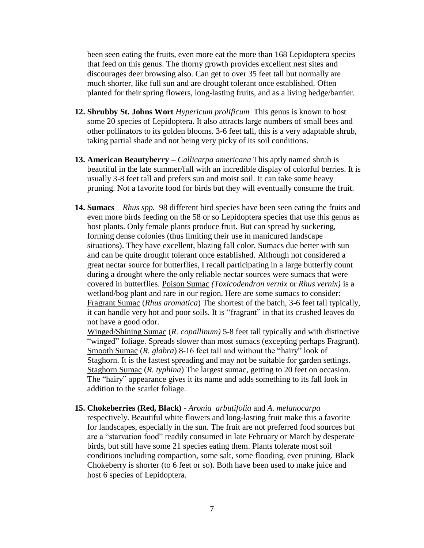been seen eating the fruits, even more eat the more than 168 Lepidoptera species that feed on this genus. The thorny growth provides excellent nest sites and discourages deer browsing also. Can get to over 35 feet tall but normally are much shorter, like full sun and are drought tolerant once established. Often planted for their spring flowers, long-lasting fruits, and as a living hedge/barrier.

- **12. Shrubby St. Johns Wort** *Hypericum prolificum* This genus is known to host some 20 species of Lepidoptera. It also attracts large numbers of small bees and other pollinators to its golden blooms. 3-6 feet tall, this is a very adaptable shrub, taking partial shade and not being very picky of its soil conditions.
- **13. American Beautyberry –** *Callicarpa americana* This aptly named shrub is beautiful in the late summer/fall with an incredible display of colorful berries. It is usually 3-8 feet tall and prefers sun and moist soil. It can take some heavy pruning. Not a favorite food for birds but they will eventually consume the fruit.
- **14. Sumacs**  *Rhus spp.* 98 different bird species have been seen eating the fruits and even more birds feeding on the 58 or so Lepidoptera species that use this genus as host plants. Only female plants produce fruit. But can spread by suckering, forming dense colonies (thus limiting their use in manicured landscape situations). They have excellent, blazing fall color. Sumacs due better with sun and can be quite drought tolerant once established. Although not considered a great nectar source for butterflies, I recall participating in a large butterfly count during a drought where the only reliable nectar sources were sumacs that were covered in butterflies. Poison Sumac *(Toxicodendron vernix* or *Rhus vernix)* is a wetland/bog plant and rare in our region. Here are some sumacs to consider: Fragrant Sumac (*Rhus aromatica*) The shortest of the batch, 3-6 feet tall typically, it can handle very hot and poor soils. It is "fragrant" in that its crushed leaves do not have a good odor.

Winged/Shining Sumac (*R. copallinum)* 5-8 feet tall typically and with distinctive "winged" foliage. Spreads slower than most sumacs (excepting perhaps Fragrant). Smooth Sumac (*R. glabra*) 8-16 feet tall and without the "hairy" look of Staghorn. It is the fastest spreading and may not be suitable for garden settings. Staghorn Sumac (*R. typhina*) The largest sumac, getting to 20 feet on occasion. The "hairy" appearance gives it its name and adds something to its fall look in addition to the scarlet foliage.

#### **15. Chokeberries (Red, Black)** - *Aronia arbutifolia* and *A. melanocarpa*

respectively. Beautiful white flowers and long-lasting fruit make this a favorite for landscapes, especially in the sun. The fruit are not preferred food sources but are a "starvation food" readily consumed in late February or March by desperate birds, but still have some 21 species eating them. Plants tolerate most soil conditions including compaction, some salt, some flooding, even pruning. Black Chokeberry is shorter (to 6 feet or so). Both have been used to make juice and host 6 species of Lepidoptera.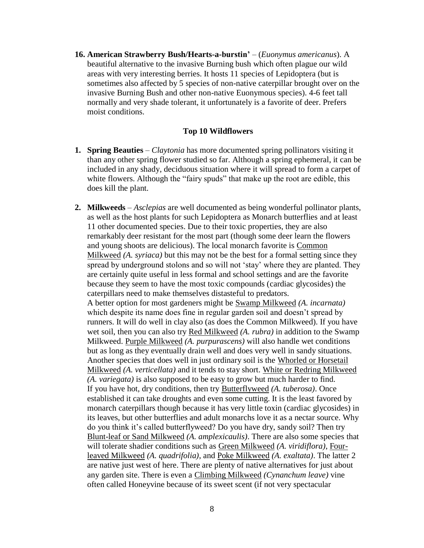**16. American Strawberry Bush/Hearts-a-burstin'** – (*Euonymus americanus*). A beautiful alternative to the invasive Burning bush which often plague our wild areas with very interesting berries. It hosts 11 species of Lepidoptera (but is sometimes also affected by 5 species of non-native caterpillar brought over on the invasive Burning Bush and other non-native Euonymous species). 4-6 feet tall normally and very shade tolerant, it unfortunately is a favorite of deer. Prefers moist conditions.

## **Top 10 Wildflowers**

- **1. Spring Beauties** *Claytonia* has more documented spring pollinators visiting it than any other spring flower studied so far. Although a spring ephemeral, it can be included in any shady, deciduous situation where it will spread to form a carpet of white flowers. Although the "fairy spuds" that make up the root are edible, this does kill the plant.
- **2. Milkweeds** *Asclepias* are well documented as being wonderful pollinator plants, as well as the host plants for such Lepidoptera as Monarch butterflies and at least 11 other documented species. Due to their toxic properties, they are also remarkably deer resistant for the most part (though some deer learn the flowers and young shoots are delicious). The local monarch favorite is Common Milkweed *(A. syriaca)* but this may not be the best for a formal setting since they spread by underground stolons and so will not 'stay' where they are planted. They are certainly quite useful in less formal and school settings and are the favorite because they seem to have the most toxic compounds (cardiac glycosides) the caterpillars need to make themselves distasteful to predators. A better option for most gardeners might be Swamp Milkweed *(A. incarnata)* which despite its name does fine in regular garden soil and doesn't spread by runners. It will do well in clay also (as does the Common Milkweed). If you have wet soil, then you can also try Red Milkweed *(A. rubra)* in addition to the Swamp Milkweed. Purple Milkweed *(A. purpurascens)* will also handle wet conditions but as long as they eventually drain well and does very well in sandy situations. Another species that does well in just ordinary soil is the Whorled or Horsetail Milkweed *(A. verticellata)* and it tends to stay short. White or Redring Milkweed *(A. variegata)* is also supposed to be easy to grow but much harder to find. If you have hot, dry conditions, then try Butterflyweed *(A. tuberosa)*. Once established it can take droughts and even some cutting. It is the least favored by monarch caterpillars though because it has very little toxin (cardiac glycosides) in its leaves, but other butterflies and adult monarchs love it as a nectar source. Why do you think it's called butterflyweed? Do you have dry, sandy soil? Then try Blunt-leaf or Sand Milkweed *(A. amplexicaulis)*. There are also some species that will tolerate shadier conditions such as Green Milkweed *(A. viridiflora)*, Fourleaved Milkweed *(A. quadrifolia)*, and Poke Milkweed *(A. exaltata)*. The latter 2 are native just west of here. There are plenty of native alternatives for just about any garden site. There is even a Climbing Milkweed *(Cynanchum leave)* vine often called Honeyvine because of its sweet scent (if not very spectacular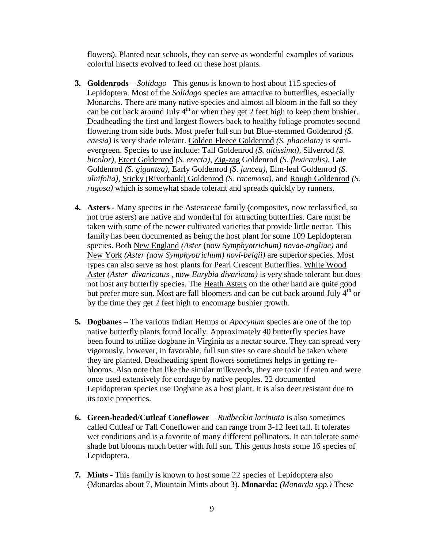flowers). Planted near schools, they can serve as wonderful examples of various colorful insects evolved to feed on these host plants.

- **3. Goldenrods** *Solidago* This genus is known to host about 115 species of Lepidoptera. Most of the *Solidago* species are attractive to butterflies, especially Monarchs. There are many native species and almost all bloom in the fall so they can be cut back around July  $4<sup>th</sup>$  or when they get 2 feet high to keep them bushier. Deadheading the first and largest flowers back to healthy foliage promotes second flowering from side buds. Most prefer full sun but Blue-stemmed Goldenrod *(S. caesia)* is very shade tolerant. Golden Fleece Goldenrod *(S. phacelata)* is semievergreen. Species to use include: Tall Goldenrod *(S. altissima)*, Silverrod *(S. bicolor)*, Erect Goldenrod *(S. erecta)*, Zig-zag Goldenrod *(S. flexicaulis)*, Late Goldenrod *(S. gigantea)*, Early Goldenrod *(S. juncea)*, Elm-leaf Goldenrod *(S. ulnifolia)*, Sticky (Riverbank) Goldenrod *(S. racemosa)*, and Rough Goldenrod *(S. rugosa)* which is somewhat shade tolerant and spreads quickly by runners.
- **4. Asters** Many species in the Asteraceae family (composites, now reclassified, so not true asters) are native and wonderful for attracting butterflies. Care must be taken with some of the newer cultivated varieties that provide little nectar. This family has been documented as being the host plant for some 109 Lepidopteran species. Both New England *(Aster* (now *Symphyotrichum) novae-angliae)* and New York *(Aster (*now *Symphyotrichum) novi-belgii)* are superior species. Most types can also serve as host plants for Pearl Crescent Butterflies. White Wood Aster *(Aster divaricatus ,* now *Eurybia divaricata)* is very shade tolerant but does not host any butterfly species. The Heath Asters on the other hand are quite good but prefer more sun. Most are fall bloomers and can be cut back around July  $4<sup>th</sup>$  or by the time they get 2 feet high to encourage bushier growth.
- **5. Dogbanes** The various Indian Hemps or *Apocynum* species are one of the top native butterfly plants found locally. Approximately 40 butterfly species have been found to utilize dogbane in Virginia as a nectar source. They can spread very vigorously, however, in favorable, full sun sites so care should be taken where they are planted. Deadheading spent flowers sometimes helps in getting reblooms. Also note that like the similar milkweeds, they are toxic if eaten and were once used extensively for cordage by native peoples. 22 documented Lepidopteran species use Dogbane as a host plant. It is also deer resistant due to its toxic properties.
- **6. Green-headed/Cutleaf Coneflower** *Rudbeckia laciniata* is also sometimes called Cutleaf or Tall Coneflower and can range from 3-12 feet tall. It tolerates wet conditions and is a favorite of many different pollinators. It can tolerate some shade but blooms much better with full sun. This genus hosts some 16 species of Lepidoptera.
- **7. Mints**  This family is known to host some 22 species of Lepidoptera also (Monardas about 7, Mountain Mints about 3). **Monarda:** *(Monarda spp.)* These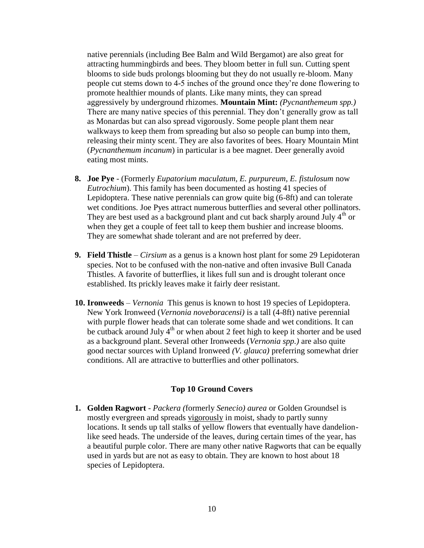native perennials (including Bee Balm and Wild Bergamot) are also great for attracting hummingbirds and bees. They bloom better in full sun. Cutting spent blooms to side buds prolongs blooming but they do not usually re-bloom. Many people cut stems down to 4-5 inches of the ground once they're done flowering to promote healthier mounds of plants. Like many mints, they can spread aggressively by underground rhizomes. **Mountain Mint:** *(Pycnanthemeum spp.)* There are many native species of this perennial. They don't generally grow as tall as Monardas but can also spread vigorously. Some people plant them near walkways to keep them from spreading but also so people can bump into them, releasing their minty scent. They are also favorites of bees. Hoary Mountain Mint (*Pycnanthemum incanum*) in particular is a bee magnet. Deer generally avoid eating most mints.

- **8. Joe Pye** (Formerly *Eupatorium maculatum, E. purpureum, E. fistulosum* now *Eutrochium*). This family has been documented as hosting 41 species of Lepidoptera. These native perennials can grow quite big (6-8ft) and can tolerate wet conditions. Joe Pyes attract numerous butterflies and several other pollinators. They are best used as a background plant and cut back sharply around July  $4<sup>th</sup>$  or when they get a couple of feet tall to keep them bushier and increase blooms. They are somewhat shade tolerant and are not preferred by deer.
- **9. Field Thistle** *Cirsium* as a genus is a known host plant for some 29 Lepidoteran species. Not to be confused with the non-native and often invasive Bull Canada Thistles. A favorite of butterflies, it likes full sun and is drought tolerant once established. Its prickly leaves make it fairly deer resistant.
- **10. Ironweeds**  *Vernonia* This genus is known to host 19 species of Lepidoptera. New York Ironweed (*Vernonia noveboracensi)* is a tall (4-8ft) native perennial with purple flower heads that can tolerate some shade and wet conditions. It can be cutback around July  $4<sup>th</sup>$  or when about 2 feet high to keep it shorter and be used as a background plant. Several other Ironweeds (*Vernonia spp.)* are also quite good nectar sources with Upland Ironweed *(V. glauca)* preferring somewhat drier conditions. All are attractive to butterflies and other pollinators.

# **Top 10 Ground Covers**

**1. Golden Ragwort** - *Packera (*formerly *Senecio) aurea* or Golden Groundsel is mostly evergreen and spreads vigorously in moist, shady to partly sunny locations. It sends up tall stalks of yellow flowers that eventually have dandelionlike seed heads. The underside of the leaves, during certain times of the year, has a beautiful purple color. There are many other native Ragworts that can be equally used in yards but are not as easy to obtain. They are known to host about 18 species of Lepidoptera.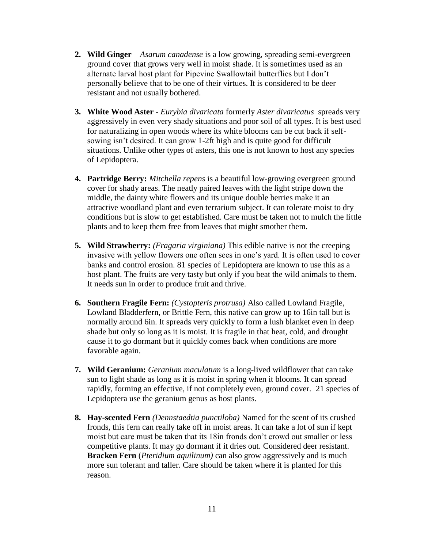- **2. Wild Ginger** *Asarum canadense* is a low growing, spreading semi-evergreen ground cover that grows very well in moist shade. It is sometimes used as an alternate larval host plant for Pipevine Swallowtail butterflies but I don't personally believe that to be one of their virtues. It is considered to be deer resistant and not usually bothered.
- **3. White Wood Aster** *Eurybia divaricata* formerly *Aster divaricatus* spreads very aggressively in even very shady situations and poor soil of all types. It is best used for naturalizing in open woods where its white blooms can be cut back if selfsowing isn't desired. It can grow 1-2ft high and is quite good for difficult situations. Unlike other types of asters, this one is not known to host any species of Lepidoptera.
- **4. Partridge Berry:** *Mitchella repens* is a beautiful low-growing evergreen ground cover for shady areas. The neatly paired leaves with the light stripe down the middle, the dainty white flowers and its unique double berries make it an attractive woodland plant and even terrarium subject. It can tolerate moist to dry conditions but is slow to get established. Care must be taken not to mulch the little plants and to keep them free from leaves that might smother them.
- **5. Wild Strawberry:** *(Fragaria virginiana)* This edible native is not the creeping invasive with yellow flowers one often sees in one's yard. It is often used to cover banks and control erosion. 81 species of Lepidoptera are known to use this as a host plant. The fruits are very tasty but only if you beat the wild animals to them. It needs sun in order to produce fruit and thrive.
- **6. Southern Fragile Fern:** *(Cystopteris protrusa)* Also called Lowland Fragile, Lowland Bladderfern, or Brittle Fern, this native can grow up to 16in tall but is normally around 6in. It spreads very quickly to form a lush blanket even in deep shade but only so long as it is moist. It is fragile in that heat, cold, and drought cause it to go dormant but it quickly comes back when conditions are more favorable again.
- **7. Wild Geranium:** *Geranium maculatum* is a long-lived wildflower that can take sun to light shade as long as it is moist in spring when it blooms. It can spread rapidly, forming an effective, if not completely even, ground cover. 21 species of Lepidoptera use the geranium genus as host plants.
- **8. Hay-scented Fern** *(Dennstaedtia punctiloba)* Named for the scent of its crushed fronds, this fern can really take off in moist areas. It can take a lot of sun if kept moist but care must be taken that its 18in fronds don't crowd out smaller or less competitive plants. It may go dormant if it dries out. Considered deer resistant. **Bracken Fern** (*Pteridium aquilinum)* can also grow aggressively and is much more sun tolerant and taller. Care should be taken where it is planted for this reason.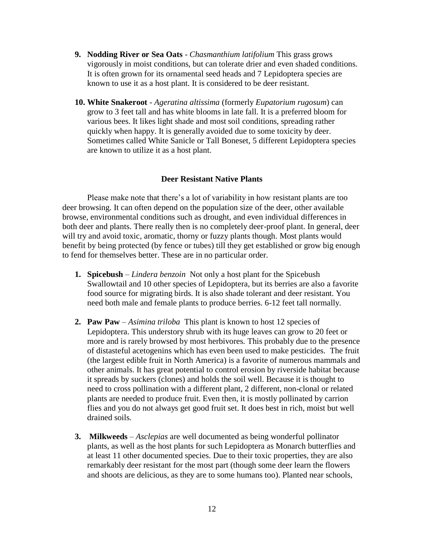- **9. Nodding River or Sea Oats** *Chasmanthium latifolium* This grass grows vigorously in moist conditions, but can tolerate drier and even shaded conditions. It is often grown for its ornamental seed heads and 7 Lepidoptera species are known to use it as a host plant. It is considered to be deer resistant.
- **10. White Snakeroot** *Ageratina altissima* (formerly *Eupatorium rugosum*) can grow to 3 feet tall and has white blooms in late fall. It is a preferred bloom for various bees. It likes light shade and most soil conditions, spreading rather quickly when happy. It is generally avoided due to some toxicity by deer. Sometimes called White Sanicle or Tall Boneset, 5 different Lepidoptera species are known to utilize it as a host plant.

# **Deer Resistant Native Plants**

Please make note that there's a lot of variability in how resistant plants are too deer browsing. It can often depend on the population size of the deer, other available browse, environmental conditions such as drought, and even individual differences in both deer and plants. There really then is no completely deer-proof plant. In general, deer will try and avoid toxic, aromatic, thorny or fuzzy plants though. Most plants would benefit by being protected (by fence or tubes) till they get established or grow big enough to fend for themselves better. These are in no particular order.

- **1. Spicebush** *Lindera benzoin* Not only a host plant for the Spicebush Swallowtail and 10 other species of Lepidoptera, but its berries are also a favorite food source for migrating birds. It is also shade tolerant and deer resistant. You need both male and female plants to produce berries. 6-12 feet tall normally.
- **2. Paw Paw**  *Asimina triloba* This plant is known to host 12 species of Lepidoptera. This understory shrub with its huge leaves can grow to 20 feet or more and is rarely browsed by most herbivores. This probably due to the presence of distasteful acetogenins which has even been used to make pesticides. The fruit (the largest edible fruit in North America) is a favorite of numerous mammals and other animals. It has great potential to control erosion by riverside habitat because it spreads by suckers (clones) and holds the soil well. Because it is thought to need to cross pollination with a different plant, 2 different, non-clonal or related plants are needed to produce fruit. Even then, it is mostly pollinated by carrion flies and you do not always get good fruit set. It does best in rich, moist but well drained soils.
- **3. Milkweeds** *Asclepias* are well documented as being wonderful pollinator plants, as well as the host plants for such Lepidoptera as Monarch butterflies and at least 11 other documented species. Due to their toxic properties, they are also remarkably deer resistant for the most part (though some deer learn the flowers and shoots are delicious, as they are to some humans too). Planted near schools,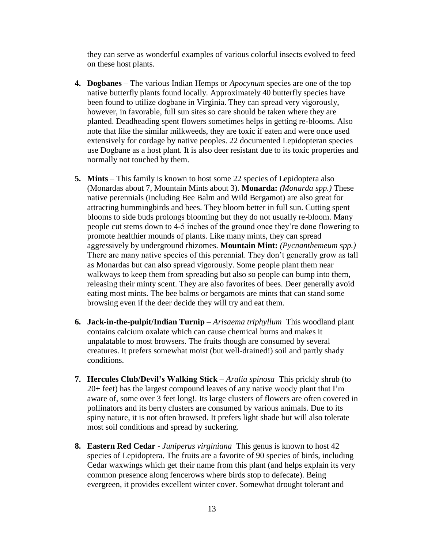they can serve as wonderful examples of various colorful insects evolved to feed on these host plants.

- **4. Dogbanes**  The various Indian Hemps or *Apocynum* species are one of the top native butterfly plants found locally. Approximately 40 butterfly species have been found to utilize dogbane in Virginia. They can spread very vigorously, however, in favorable, full sun sites so care should be taken where they are planted. Deadheading spent flowers sometimes helps in getting re-blooms. Also note that like the similar milkweeds, they are toxic if eaten and were once used extensively for cordage by native peoples. 22 documented Lepidopteran species use Dogbane as a host plant. It is also deer resistant due to its toxic properties and normally not touched by them.
- **5. Mints** This family is known to host some 22 species of Lepidoptera also (Monardas about 7, Mountain Mints about 3). **Monarda:** *(Monarda spp.)* These native perennials (including Bee Balm and Wild Bergamot) are also great for attracting hummingbirds and bees. They bloom better in full sun. Cutting spent blooms to side buds prolongs blooming but they do not usually re-bloom. Many people cut stems down to 4-5 inches of the ground once they're done flowering to promote healthier mounds of plants. Like many mints, they can spread aggressively by underground rhizomes. **Mountain Mint:** *(Pycnanthemeum spp.)* There are many native species of this perennial. They don't generally grow as tall as Monardas but can also spread vigorously. Some people plant them near walkways to keep them from spreading but also so people can bump into them, releasing their minty scent. They are also favorites of bees. Deer generally avoid eating most mints. The bee balms or bergamots are mints that can stand some browsing even if the deer decide they will try and eat them.
- **6. Jack-in-the-pulpit/Indian Turnip** *Arisaema triphyllum* This woodland plant contains calcium oxalate which can cause chemical burns and makes it unpalatable to most browsers. The fruits though are consumed by several creatures. It prefers somewhat moist (but well-drained!) soil and partly shady conditions.
- **7. Hercules Club/Devil's Walking Stick** *Aralia spinosa* This prickly shrub (to 20+ feet) has the largest compound leaves of any native woody plant that I'm aware of, some over 3 feet long!. Its large clusters of flowers are often covered in pollinators and its berry clusters are consumed by various animals. Due to its spiny nature, it is not often browsed. It prefers light shade but will also tolerate most soil conditions and spread by suckering.
- **8. Eastern Red Cedar**  *Juniperus virginiana* This genus is known to host 42 species of Lepidoptera. The fruits are a favorite of 90 species of birds, including Cedar waxwings which get their name from this plant (and helps explain its very common presence along fencerows where birds stop to defecate). Being evergreen, it provides excellent winter cover. Somewhat drought tolerant and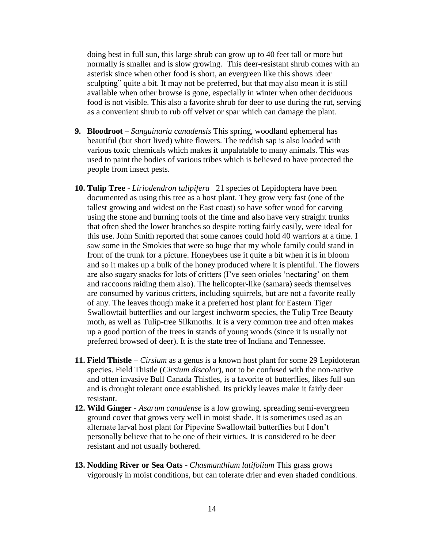doing best in full sun, this large shrub can grow up to 40 feet tall or more but normally is smaller and is slow growing. This deer-resistant shrub comes with an asterisk since when other food is short, an evergreen like this shows :deer sculpting" quite a bit. It may not be preferred, but that may also mean it is still available when other browse is gone, especially in winter when other deciduous food is not visible. This also a favorite shrub for deer to use during the rut, serving as a convenient shrub to rub off velvet or spar which can damage the plant.

- **9. Bloodroot**  *Sanguinaria canadensis* This spring, woodland ephemeral has beautiful (but short lived) white flowers. The reddish sap is also loaded with various toxic chemicals which makes it unpalatable to many animals. This was used to paint the bodies of various tribes which is believed to have protected the people from insect pests.
- **10. Tulip Tree**  *Liriodendron tulipifera* 21 species of Lepidoptera have been documented as using this tree as a host plant. They grow very fast (one of the tallest growing and widest on the East coast) so have softer wood for carving using the stone and burning tools of the time and also have very straight trunks that often shed the lower branches so despite rotting fairly easily, were ideal for this use. John Smith reported that some canoes could hold 40 warriors at a time. I saw some in the Smokies that were so huge that my whole family could stand in front of the trunk for a picture. Honeybees use it quite a bit when it is in bloom and so it makes up a bulk of the honey produced where it is plentiful. The flowers are also sugary snacks for lots of critters (I've seen orioles 'nectaring' on them and raccoons raiding them also). The helicopter-like (samara) seeds themselves are consumed by various critters, including squirrels, but are not a favorite really of any. The leaves though make it a preferred host plant for Eastern Tiger Swallowtail butterflies and our largest inchworm species, the Tulip Tree Beauty moth, as well as Tulip-tree Silkmoths. It is a very common tree and often makes up a good portion of the trees in stands of young woods (since it is usually not preferred browsed of deer). It is the state tree of Indiana and Tennessee.
- **11. Field Thistle** *Cirsium* as a genus is a known host plant for some 29 Lepidoteran species. Field Thistle (*Cirsium discolor*), not to be confused with the non-native and often invasive Bull Canada Thistles, is a favorite of butterflies, likes full sun and is drought tolerant once established. Its prickly leaves make it fairly deer resistant.
- **12. Wild Ginger**  *Asarum canadense* is a low growing, spreading semi-evergreen ground cover that grows very well in moist shade. It is sometimes used as an alternate larval host plant for Pipevine Swallowtail butterflies but I don't personally believe that to be one of their virtues. It is considered to be deer resistant and not usually bothered.
- **13. Nodding River or Sea Oats** *Chasmanthium latifolium* This grass grows vigorously in moist conditions, but can tolerate drier and even shaded conditions.